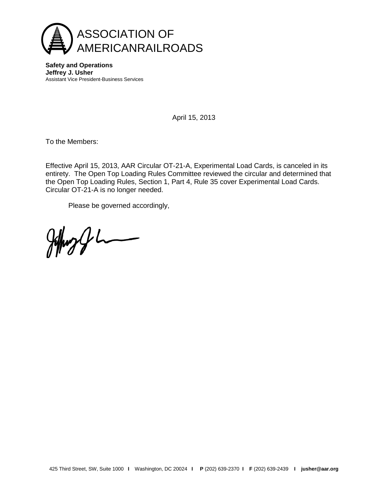

**Safety and Operations Jeffrey J. Usher** Assistant Vice President-Business Services

April 15, 2013

To the Members:

Effective April 15, 2013, AAR Circular OT-21-A, Experimental Load Cards, is canceled in its entirety. The Open Top Loading Rules Committee reviewed the circular and determined that the Open Top Loading Rules, Section 1, Part 4, Rule 35 cover Experimental Load Cards. Circular OT-21-A is no longer needed.

Please be governed accordingly,

 $\frac{1}{2}$